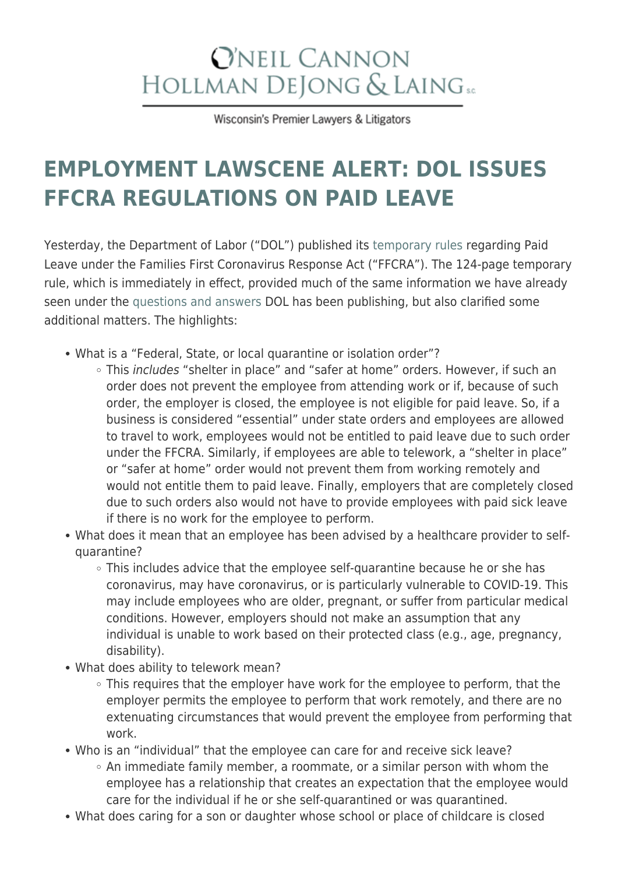## **O'NEIL CANNON** HOLLMAN DEJONG & LAING SC

Wisconsin's Premier Lawyers & Litigators

## **[EMPLOYMENT LAWSCENE ALERT: DOL ISSUES](https://www.wilaw.com/employment-lawscene-alert-dol-issues-ffcra-regulations-on-paid-leave/) [FFCRA REGULATIONS ON PAID LEAVE](https://www.wilaw.com/employment-lawscene-alert-dol-issues-ffcra-regulations-on-paid-leave/)**

Yesterday, the Department of Labor ("DOL") published its [temporary rules](https://www.dol.gov/sites/dolgov/files/WHD/Pandemic/FFCRA.pdf) regarding Paid Leave under the Families First Coronavirus Response Act ("FFCRA"). The 124-page temporary rule, which is immediately in effect, provided much of the same information we have already seen under the [questions and answers](https://www.dol.gov/agencies/whd/pandemic/ffcra-questions) DOL has been publishing, but also clarified some additional matters. The highlights:

- What is a "Federal, State, or local quarantine or isolation order"?
	- This *includes* "shelter in place" and "safer at home" orders. However, if such an order does not prevent the employee from attending work or if, because of such order, the employer is closed, the employee is not eligible for paid leave. So, if a business is considered "essential" under state orders and employees are allowed to travel to work, employees would not be entitled to paid leave due to such order under the FFCRA. Similarly, if employees are able to telework, a "shelter in place" or "safer at home" order would not prevent them from working remotely and would not entitle them to paid leave. Finally, employers that are completely closed due to such orders also would not have to provide employees with paid sick leave if there is no work for the employee to perform.
- What does it mean that an employee has been advised by a healthcare provider to selfquarantine?
	- This includes advice that the employee self-quarantine because he or she has coronavirus, may have coronavirus, or is particularly vulnerable to COVID-19. This may include employees who are older, pregnant, or suffer from particular medical conditions. However, employers should not make an assumption that any individual is unable to work based on their protected class (e.g., age, pregnancy, disability).
- What does ability to telework mean?
	- This requires that the employer have work for the employee to perform, that the employer permits the employee to perform that work remotely, and there are no extenuating circumstances that would prevent the employee from performing that work.
- Who is an "individual" that the employee can care for and receive sick leave?
	- $\circ$  An immediate family member, a roommate, or a similar person with whom the employee has a relationship that creates an expectation that the employee would care for the individual if he or she self-quarantined or was quarantined.
- What does caring for a son or daughter whose school or place of childcare is closed